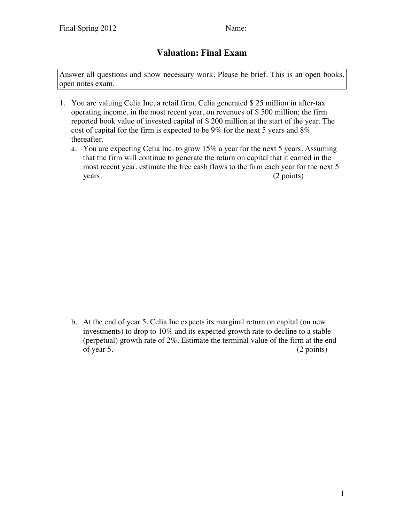## **Valuation: Final Exam**

Answer all questions and show necessary work. Please be brief. This is an open books, open notes exam.

- 1. You are valuing Celia Inc, a retail firm. Celia generated \$ 25 million in after-tax operating income, in the most recent year, on revenues of \$ 500 million; the firm reported book value of invested capital of \$ 200 million at the start of the year. The cost of capital for the firm is expected to be 9% for the next 5 years and 8% thereafter.
	- a. You are expecting Celia Inc. to grow 15% a year for the next 5 years. Assuming that the firm will continue to generate the return on capital that it earned in the most recent year, estimate the free cash flows to the firm each year for the next 5 years. (2 points)

b. At the end of year 5, Celia Inc expects its marginal return on capital (on new investments) to drop to 10% and its expected growth rate to decline to a stable (perpetual) growth rate of 2%. Estimate the terminal value of the firm at the end of year 5. (2 points)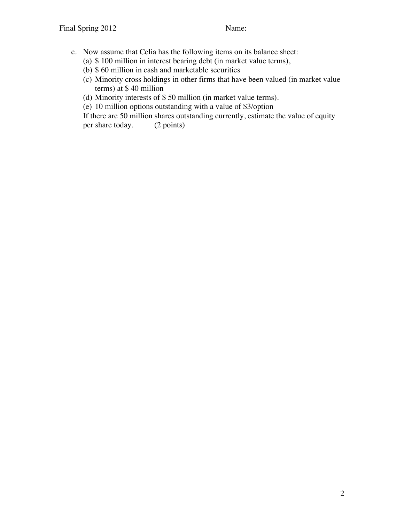- c. Now assume that Celia has the following items on its balance sheet:
	- (a) \$ 100 million in interest bearing debt (in market value terms),
	- (b) \$ 60 million in cash and marketable securities
	- (c) Minority cross holdings in other firms that have been valued (in market value terms) at \$ 40 million
	- (d) Minority interests of \$ 50 million (in market value terms).
	- (e) 10 million options outstanding with a value of \$3/option

If there are 50 million shares outstanding currently, estimate the value of equity per share today. (2 points)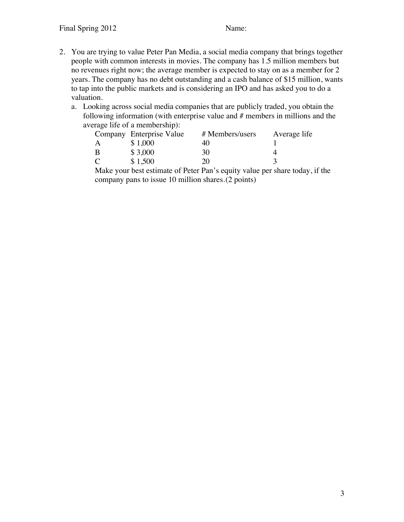- 2. You are trying to value Peter Pan Media, a social media company that brings together people with common interests in movies. The company has 1.5 million members but no revenues right now; the average member is expected to stay on as a member for 2 years. The company has no debt outstanding and a cash balance of \$15 million, wants to tap into the public markets and is considering an IPO and has asked you to do a valuation.
	- a. Looking across social media companies that are publicly traded, you obtain the following information (with enterprise value and # members in millions and the average life of a membership):

|               | Company Enterprise Value | # Members/users | Average life |
|---------------|--------------------------|-----------------|--------------|
| A             | \$1,000                  | 40              |              |
| B             | \$3,000                  | 30              |              |
| $\mathcal{C}$ | \$1,500                  | 20              |              |

Make your best estimate of Peter Pan's equity value per share today, if the company pans to issue 10 million shares.(2 points)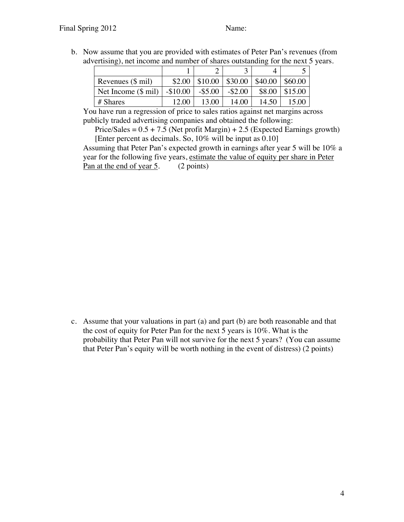b. Now assume that you are provided with estimates of Peter Pan's revenues (from advertising), net income and number of shares outstanding for the next 5 years.

| Revenues $(\$ \text{mil})$   | \$2.00     | $$10.00 \mid $30.00$ |            | $\$40.00$ | 860.00  |
|------------------------------|------------|----------------------|------------|-----------|---------|
| Net Income $(\$ \text{mil})$ | $-\$10.00$ | $-$ \$5.00           | $-$ \$2.00 | \$8.00    | \$15.00 |
| $#$ Shares                   | 12.00      | 13.00                | 14.00      | 14.50     | 15.00   |

You have run a regression of price to sales ratios against net margins across publicly traded advertising companies and obtained the following:

Price/Sales =  $0.5 + 7.5$  (Net profit Margin) + 2.5 (Expected Earnings growth) [Enter percent as decimals. So, 10% will be input as 0.10]

Assuming that Peter Pan's expected growth in earnings after year 5 will be 10% a year for the following five years, estimate the value of equity per share in Peter Pan at the end of year 5. (2 points)

c. Assume that your valuations in part (a) and part (b) are both reasonable and that the cost of equity for Peter Pan for the next 5 years is 10%. What is the probability that Peter Pan will not survive for the next 5 years? (You can assume that Peter Pan's equity will be worth nothing in the event of distress) (2 points)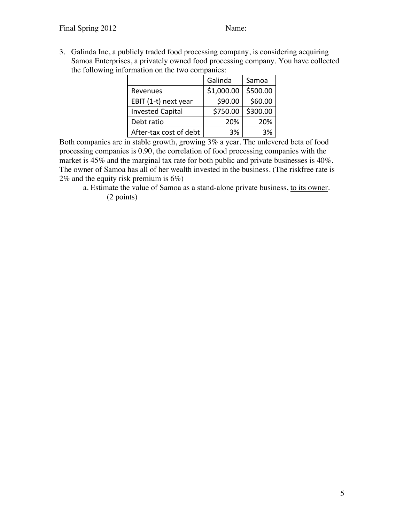3. Galinda Inc, a publicly traded food processing company, is considering acquiring Samoa Enterprises, a privately owned food processing company. You have collected the following information on the two companies:

|                         | Galinda    | Samoa    |
|-------------------------|------------|----------|
| Revenues                | \$1,000.00 | \$500.00 |
| EBIT (1-t) next year    | \$90.00    | \$60.00  |
| <b>Invested Capital</b> | \$750.00   | \$300.00 |
| Debt ratio              | 20%        | 20%      |
| After-tax cost of debt  | 3%         | 3%       |

Both companies are in stable growth, growing 3% a year. The unlevered beta of food processing companies is 0.90, the correlation of food processing companies with the market is 45% and the marginal tax rate for both public and private businesses is 40%. The owner of Samoa has all of her wealth invested in the business. (The riskfree rate is 2% and the equity risk premium is 6%)

a. Estimate the value of Samoa as a stand-alone private business, to its owner. (2 points)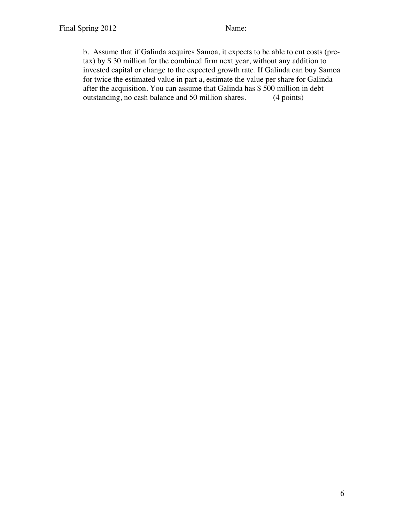b. Assume that if Galinda acquires Samoa, it expects to be able to cut costs (pretax) by \$ 30 million for the combined firm next year, without any addition to invested capital or change to the expected growth rate. If Galinda can buy Samoa for twice the estimated value in part a, estimate the value per share for Galinda after the acquisition. You can assume that Galinda has \$ 500 million in debt outstanding, no cash balance and 50 million shares. (4 points)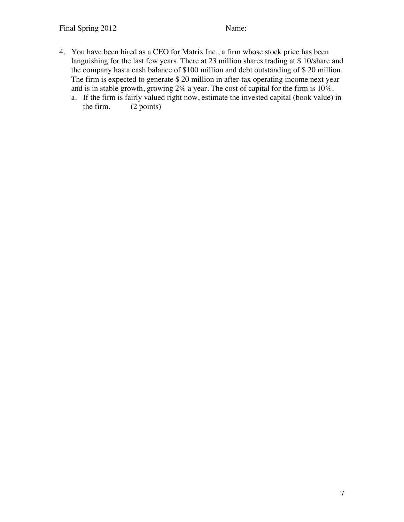- 4. You have been hired as a CEO for Matrix Inc., a firm whose stock price has been languishing for the last few years. There at 23 million shares trading at \$ 10/share and the company has a cash balance of \$100 million and debt outstanding of \$ 20 million. The firm is expected to generate \$ 20 million in after-tax operating income next year and is in stable growth, growing 2% a year. The cost of capital for the firm is 10%.
	- a. If the firm is fairly valued right now, estimate the invested capital (book value) in the firm. (2 points)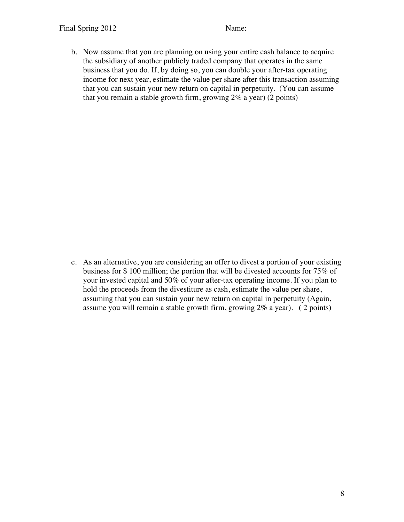b. Now assume that you are planning on using your entire cash balance to acquire the subsidiary of another publicly traded company that operates in the same business that you do. If, by doing so, you can double your after-tax operating income for next year, estimate the value per share after this transaction assuming that you can sustain your new return on capital in perpetuity. (You can assume that you remain a stable growth firm, growing 2% a year) (2 points)

c. As an alternative, you are considering an offer to divest a portion of your existing business for \$ 100 million; the portion that will be divested accounts for 75% of your invested capital and 50% of your after-tax operating income. If you plan to hold the proceeds from the divestiture as cash, estimate the value per share, assuming that you can sustain your new return on capital in perpetuity (Again, assume you will remain a stable growth firm, growing 2% a year). ( 2 points)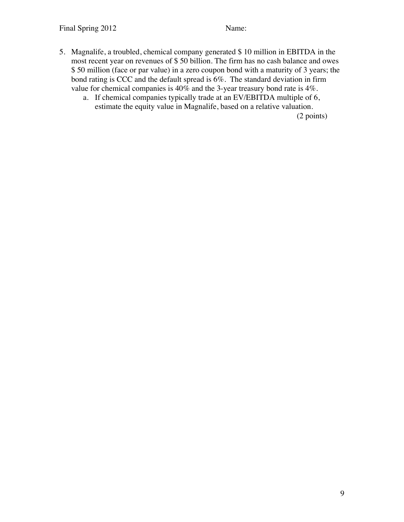- 5. Magnalife, a troubled, chemical company generated \$ 10 million in EBITDA in the most recent year on revenues of \$ 50 billion. The firm has no cash balance and owes \$ 50 million (face or par value) in a zero coupon bond with a maturity of 3 years; the bond rating is CCC and the default spread is 6%. The standard deviation in firm value for chemical companies is 40% and the 3-year treasury bond rate is 4%.
	- a. If chemical companies typically trade at an EV/EBITDA multiple of 6, estimate the equity value in Magnalife, based on a relative valuation.

(2 points)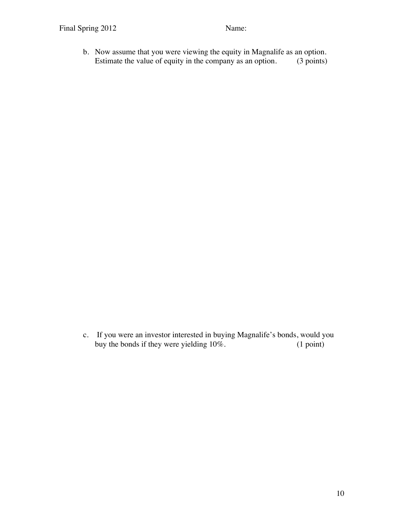b. Now assume that you were viewing the equity in Magnalife as an option.<br>Estimate the value of equity in the company as an option. (3 points) Estimate the value of equity in the company as an option.

c. If you were an investor interested in buying Magnalife's bonds, would you buy the bonds if they were yielding  $10\%$ . (1 point) buy the bonds if they were yielding  $10\%$ .